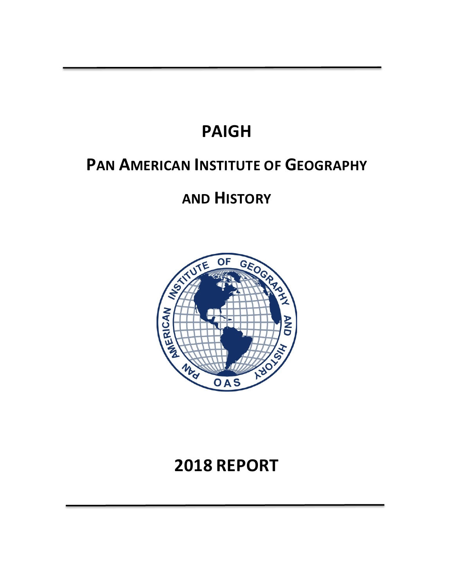# **PAIGH**

# **PAN AMERICAN INSTITUTE OF GEOGRAPHY**

# **AND HISTORY**



# **2018 REPORT**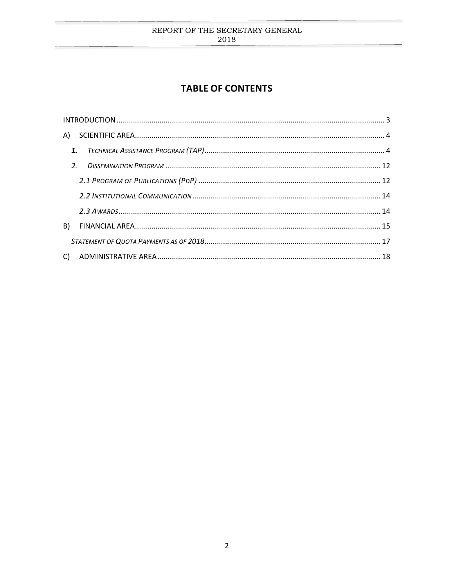# <span id="page-1-0"></span>**TABLE OF CONTENTS**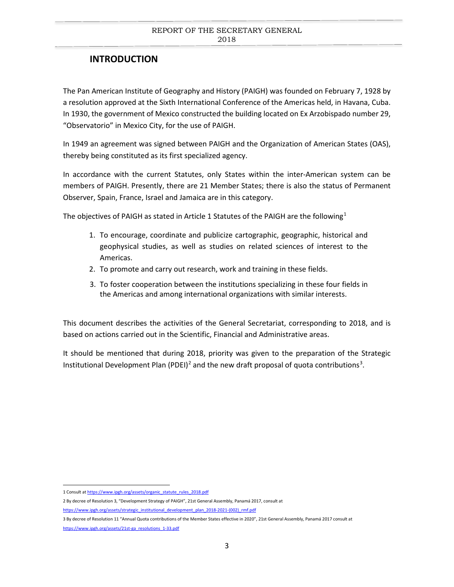# **INTRODUCTION**

The Pan American Institute of Geography and History (PAIGH) was founded on February 7, 1928 by a resolution approved at the Sixth International Conference of the Americas held, in Havana, Cuba. In 1930, the government of Mexico constructed the building located on Ex Arzobispado number 29, "Observatorio" in Mexico City, for the use of PAIGH.

In 1949 an agreement was signed between PAIGH and the Organization of American States (OAS), thereby being constituted as its first specialized agency.

In accordance with the current Statutes, only States within the inter-American system can be members of PAIGH. Presently, there are 21 Member States; there is also the status of Permanent Observer, Spain, France, Israel and Jamaica are in this category.

The objectives of PAIGH as stated in Article [1](#page-2-0) Statutes of the PAIGH are the following<sup>1</sup>

- 1. To encourage, coordinate and publicize cartographic, geographic, historical and geophysical studies, as well as studies on related sciences of interest to the Americas.
- 2. To promote and carry out research, work and training in these fields.
- 3. To foster cooperation between the institutions specializing in these four fields in the Americas and among international organizations with similar interests.

This document describes the activities of the General Secretariat, corresponding to 2018, and is based on actions carried out in the Scientific, Financial and Administrative areas.

It should be mentioned that during 2018, priority was given to the preparation of the Strategic Institutional Development Plan (PDEI)<sup>[2](#page-2-1)</sup> and the new draft proposal of quota contributions<sup>[3](#page-2-2)</sup>.

<span id="page-2-0"></span><sup>1</sup> Consult a[t https://www.ipgh.org/assets/organic\\_statute\\_rules\\_2018.pdf](https://www.ipgh.org/assets/organic_statute_rules_2018.pdf)

<span id="page-2-1"></span><sup>2</sup> By decree of Resolution 3, "Development Strategy of PAIGH", 21st General Assembly, Panamá 2017, consult at

[https://www.ipgh.org/assets/strategic\\_institutional\\_development\\_plan\\_2018-2021-\(002\)\\_rmf.pdf](https://www.ipgh.org/assets/strategic_institutional_development_plan_2018-2021-(002)_rmf.pdf)

<span id="page-2-2"></span><sup>3</sup> By decree of Resolution 11 "Annual Quota contributions of the Member States effective in 2020", 21st General Assembly, Panamá 2017 consult at [https://www.ipgh.org/assets/21st-ga\\_resolutions\\_1-33.pdf](https://www.ipgh.org/assets/21st-ga_resolutions_1-33.pdf)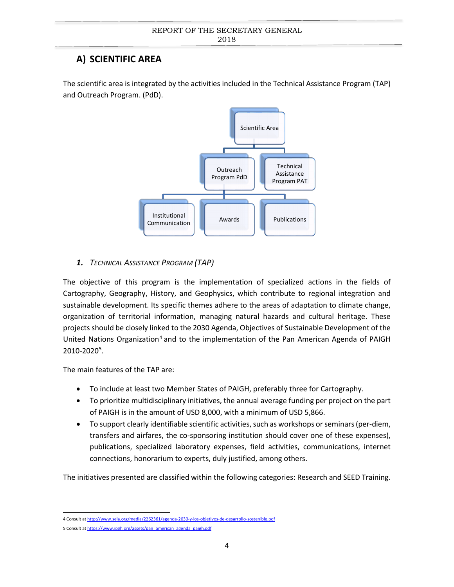# <span id="page-3-0"></span>**A) SCIENTIFIC AREA**

The scientific area is integrated by the activities included in the Technical Assistance Program (TAP) and Outreach Program. (PdD).



# <span id="page-3-1"></span>*1. TECHNICAL ASSISTANCE PROGRAM (TAP)*

The objective of this program is the implementation of specialized actions in the fields of Cartography, Geography, History, and Geophysics, which contribute to regional integration and sustainable development. Its specific themes adhere to the areas of adaptation to climate change, organization of territorial information, managing natural hazards and cultural heritage. These projects should be closely linked to the 2030 Agenda, Objectives of Sustainable Development of the United Nations Organization<sup>[4](#page-3-2)</sup> and to the implementation of the Pan American Agenda of PAIGH 2010-2020<sup>[5](#page-3-3)</sup>.

The main features of the TAP are:

- To include at least two Member States of PAIGH, preferably three for Cartography.
- To prioritize multidisciplinary initiatives, the annual average funding per project on the part of PAIGH is in the amount of USD 8,000, with a minimum of USD 5,866.
- To support clearly identifiable scientific activities, such as workshops or seminars (per-diem, transfers and airfares, the co-sponsoring institution should cover one of these expenses), publications, specialized laboratory expenses, field activities, communications, internet connections, honorarium to experts, duly justified, among others.

The initiatives presented are classified within the following categories: Research and SEED Training.

<span id="page-3-2"></span> <sup>4</sup> Consult a[t http://www.sela.org/media/2262361/agenda-2030-y-los-objetivos-de-desarrollo-sostenible.pdf](http://www.sela.org/media/2262361/agenda-2030-y-los-objetivos-de-desarrollo-sostenible.pdf)

<span id="page-3-3"></span><sup>5</sup> Consult a[t https://www.ipgh.org/assets/pan\\_american\\_agenda\\_paigh.pdf](https://www.ipgh.org/assets/pan_american_agenda_paigh.pdf)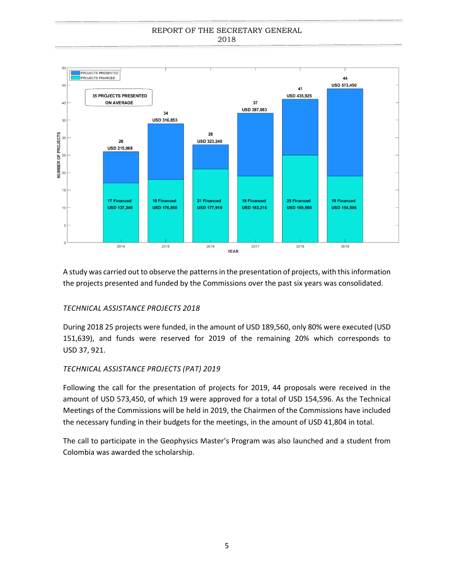

A study was carried out to observe the patterns in the presentation of projects, with this information the projects presented and funded by the Commissions over the past six years was consolidated.

# *TECHNICAL ASSISTANCE PROJECTS 2018*

During 2018 25 projects were funded, in the amount of USD 189,560, only 80% were executed (USD 151,639), and funds were reserved for 2019 of the remaining 20% which corresponds to USD 37, 921.

# *TECHNICAL ASSISTANCE PROJECTS (PAT) 2019*

Following the call for the presentation of projects for 2019, 44 proposals were received in the amount of USD 573,450, of which 19 were approved for a total of USD 154,596. As the Technical Meetings of the Commissions will be held in 2019, the Chairmen of the Commissions have included the necessary funding in their budgets for the meetings, in the amount of USD 41,804 in total.

The call to participate in the Geophysics Master's Program was also launched and a student from Colombia was awarded the scholarship.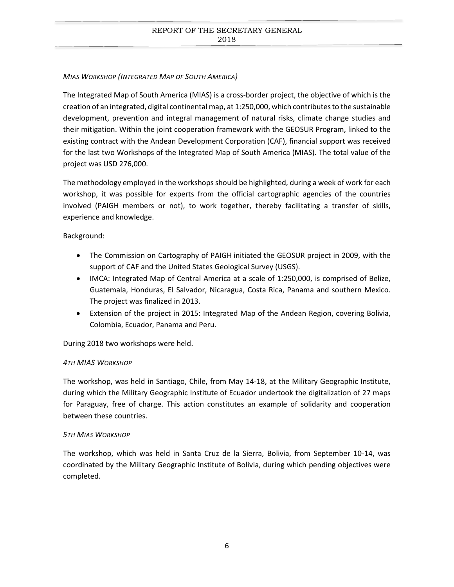## *MIAS WORKSHOP (INTEGRATED MAP OF SOUTH AMERICA)*

The Integrated Map of South America (MIAS) is a cross-border project, the objective of which is the creation of an integrated, digital continental map, at 1:250,000, which contributesto the sustainable development, prevention and integral management of natural risks, climate change studies and their mitigation. Within the joint cooperation framework with the GEOSUR Program, linked to the existing contract with the Andean Development Corporation (CAF), financial support was received for the last two Workshops of the Integrated Map of South America (MIAS). The total value of the project was USD 276,000.

The methodology employed in the workshops should be highlighted, during a week of work for each workshop, it was possible for experts from the official cartographic agencies of the countries involved (PAIGH members or not), to work together, thereby facilitating a transfer of skills, experience and knowledge.

Background:

- The Commission on Cartography of PAIGH initiated the GEOSUR project in 2009, with the support of CAF and the United States Geological Survey (USGS).
- IMCA: Integrated Map of Central America at a scale of 1:250,000, is comprised of Belize, Guatemala, Honduras, El Salvador, Nicaragua, Costa Rica, Panama and southern Mexico. The project was finalized in 2013.
- Extension of the project in 2015: Integrated Map of the Andean Region, covering Bolivia, Colombia, Ecuador, Panama and Peru.

During 2018 two workshops were held.

## *4TH MIAS WORKSHOP*

The workshop, was held in Santiago, Chile, from May 14-18, at the Military Geographic Institute, during which the Military Geographic Institute of Ecuador undertook the digitalization of 27 maps for Paraguay, free of charge. This action constitutes an example of solidarity and cooperation between these countries.

## *5TH MIAS WORKSHOP*

The workshop, which was held in Santa Cruz de la Sierra, Bolivia, from September 10-14, was coordinated by the Military Geographic Institute of Bolivia, during which pending objectives were completed.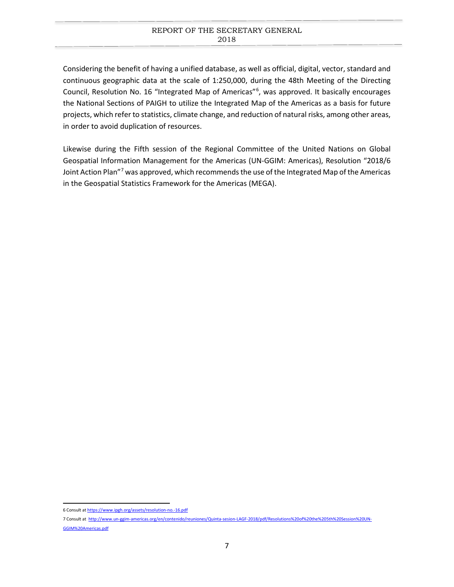Considering the benefit of having a unified database, as well as official, digital, vector, standard and continuous geographic data at the scale of 1:250,000, during the 48th Meeting of the Directing Council, Resolution No. 1[6](#page-6-0) "Integrated Map of Americas"<sup>6</sup>, was approved. It basically encourages the National Sections of PAIGH to utilize the Integrated Map of the Americas as a basis for future projects, which refer to statistics, climate change, and reduction of natural risks, among other areas, in order to avoid duplication of resources.

Likewise during the Fifth session of the Regional Committee of the United Nations on Global Geospatial Information Management for the Americas (UN-GGIM: Americas), Resolution "2018/6 Joint Action Plan"[7](#page-6-1) was approved, which recommends the use of the Integrated Map of the Americas in the Geospatial Statistics Framework for the Americas (MEGA).

<span id="page-6-0"></span> <sup>6</sup> Consult a[t https://www.ipgh.org/assets/resolution-no.-16.pdf](https://www.ipgh.org/assets/resolution-no.-16.pdf)

<span id="page-6-1"></span><sup>7</sup> Consult at [http://www.un-ggim-americas.org/en/contenido/reuniones/Quinta-sesion-LAGF-2018/pdf/Resolutions%20of%20the%205th%20Session%20UN-](http://www.un-ggim-americas.org/en/contenido/reuniones/Quinta-sesion-LAGF-2018/pdf/Resolutions%20of%20the%205th%20Session%20UN-GGIM%20Americas.pdf)[GGIM%20Americas.pdf](http://www.un-ggim-americas.org/en/contenido/reuniones/Quinta-sesion-LAGF-2018/pdf/Resolutions%20of%20the%205th%20Session%20UN-GGIM%20Americas.pdf)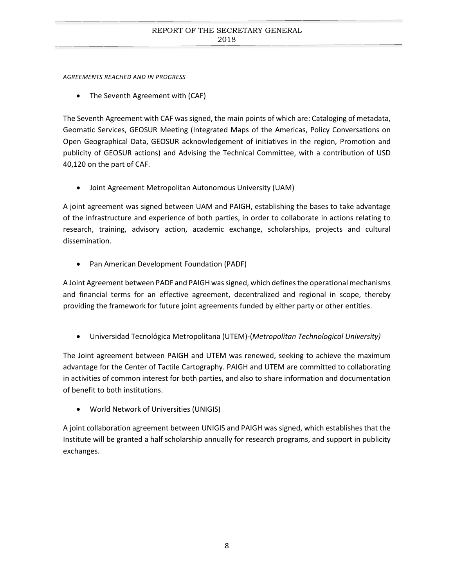*AGREEMENTS REACHED AND IN PROGRESS* 

The Seventh Agreement with (CAF)

The Seventh Agreement with CAF was signed, the main points of which are: Cataloging of metadata, Geomatic Services, GEOSUR Meeting (Integrated Maps of the Americas, Policy Conversations on Open Geographical Data, GEOSUR acknowledgement of initiatives in the region, Promotion and publicity of GEOSUR actions) and Advising the Technical Committee, with a contribution of USD 40,120 on the part of CAF.

• Joint Agreement Metropolitan Autonomous University (UAM)

A joint agreement was signed between UAM and PAIGH, establishing the bases to take advantage of the infrastructure and experience of both parties, in order to collaborate in actions relating to research, training, advisory action, academic exchange, scholarships, projects and cultural dissemination.

• Pan American Development Foundation (PADF)

A Joint Agreement between PADF and PAIGH was signed, which defines the operational mechanisms and financial terms for an effective agreement, decentralized and regional in scope, thereby providing the framework for future joint agreements funded by either party or other entities.

• Universidad Tecnológica Metropolitana (UTEM)-(*Metropolitan Technological University)*

The Joint agreement between PAIGH and UTEM was renewed, seeking to achieve the maximum advantage for the Center of Tactile Cartography. PAIGH and UTEM are committed to collaborating in activities of common interest for both parties, and also to share information and documentation of benefit to both institutions.

• World Network of Universities (UNIGIS)

A joint collaboration agreement between UNIGIS and PAIGH was signed, which establishes that the Institute will be granted a half scholarship annually for research programs, and support in publicity exchanges.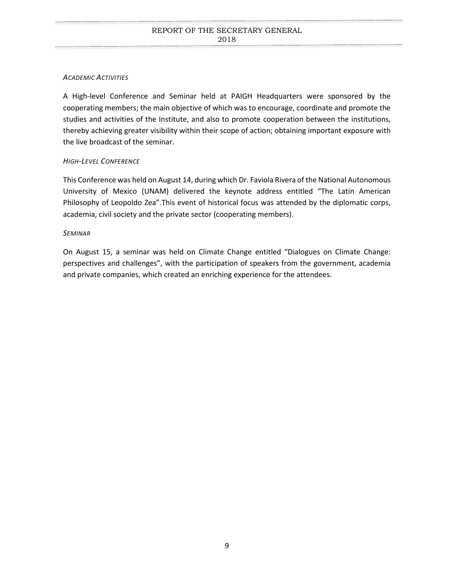# *ACADEMIC ACTIVITIES*

A High-level Conference and Seminar held at PAIGH Headquarters were sponsored by the cooperating members; the main objective of which was to encourage, coordinate and promote the studies and activities of the Institute, and also to promote cooperation between the institutions, thereby achieving greater visibility within their scope of action; obtaining important exposure with the live broadcast of the seminar.

## *HIGH-LEVEL CONFERENCE*

This Conference was held on August 14, during which Dr. Faviola Rivera of the National Autonomous University of Mexico (UNAM) delivered the keynote address entitled "The Latin American Philosophy of Leopoldo Zea".This event of historical focus was attended by the diplomatic corps, academia, civil society and the private sector (cooperating members).

## *SEMINAR*

On August 15, a seminar was held on Climate Change entitled "Dialogues on Climate Change: perspectives and challenges", with the participation of speakers from the government, academia and private companies, which created an enriching experience for the attendees.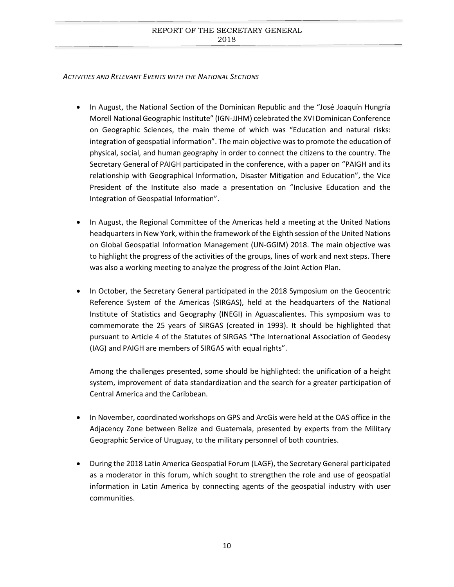#### *ACTIVITIES AND RELEVANT EVENTS WITH THE NATIONAL SECTIONS*

- In August, the National Section of the Dominican Republic and the "José Joaquín Hungría Morell National Geographic Institute" (IGN-JJHM) celebrated the XVI Dominican Conference on Geographic Sciences, the main theme of which was "Education and natural risks: integration of geospatial information". The main objective was to promote the education of physical, social, and human geography in order to connect the citizens to the country. The Secretary General of PAIGH participated in the conference, with a paper on "PAIGH and its relationship with Geographical Information, Disaster Mitigation and Education", the Vice President of the Institute also made a presentation on "Inclusive Education and the Integration of Geospatial Information".
- In August, the Regional Committee of the Americas held a meeting at the United Nations headquarters in New York, within the framework of the Eighth session of the United Nations on Global Geospatial Information Management (UN-GGIM) 2018. The main objective was to highlight the progress of the activities of the groups, lines of work and next steps. There was also a working meeting to analyze the progress of the Joint Action Plan.
- In October, the Secretary General participated in the 2018 Symposium on the Geocentric Reference System of the Americas (SIRGAS), held at the headquarters of the National Institute of Statistics and Geography (INEGI) in Aguascalientes. This symposium was to commemorate the 25 years of SIRGAS (created in 1993). It should be highlighted that pursuant to Article 4 of the Statutes of SIRGAS "The International Association of Geodesy (IAG) and PAIGH are members of SIRGAS with equal rights".

Among the challenges presented, some should be highlighted: the unification of a height system, improvement of data standardization and the search for a greater participation of Central America and the Caribbean.

- In November, coordinated workshops on GPS and ArcGis were held at the OAS office in the Adjacency Zone between Belize and Guatemala, presented by experts from the Military Geographic Service of Uruguay, to the military personnel of both countries.
- During the 2018 Latin America Geospatial Forum (LAGF), the Secretary General participated as a moderator in this forum, which sought to strengthen the role and use of geospatial information in Latin America by connecting agents of the geospatial industry with user communities.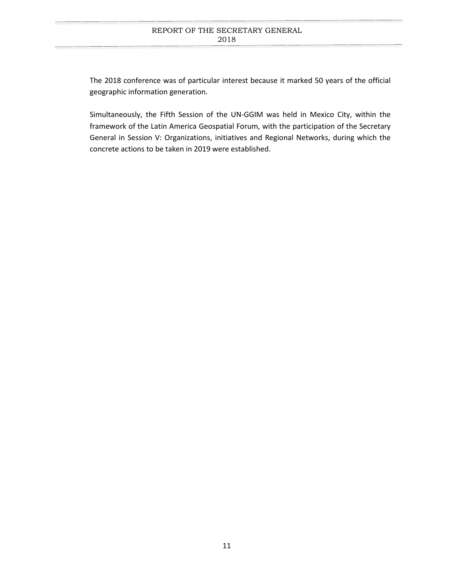The 2018 conference was of particular interest because it marked 50 years of the official geographic information generation.

Simultaneously, the Fifth Session of the UN-GGIM was held in Mexico City, within the framework of the Latin America Geospatial Forum, with the participation of the Secretary General in Session V: Organizations, initiatives and Regional Networks, during which the concrete actions to be taken in 2019 were established.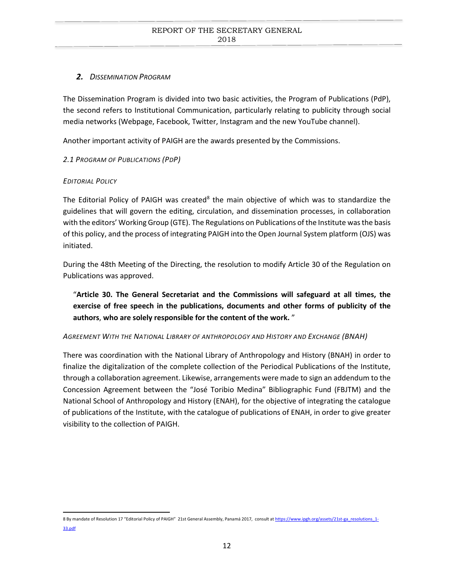# <span id="page-11-0"></span>*2. DISSEMINATION PROGRAM*

The Dissemination Program is divided into two basic activities, the Program of Publications (PdP), the second refers to Institutional Communication, particularly relating to publicity through social media networks (Webpage, Facebook, Twitter, Instagram and the new YouTube channel).

Another important activity of PAIGH are the awards presented by the Commissions.

# <span id="page-11-1"></span>*2.1 PROGRAM OF PUBLICATIONS (PDP)*

# *EDITORIAL POLICY*

The Editorial Policy of PAIGH was created<sup>[8](#page-11-2)</sup> the main objective of which was to standardize the guidelines that will govern the editing, circulation, and dissemination processes, in collaboration with the editors' Working Group (GTE). The Regulations on Publications of the Institute was the basis of this policy, and the process of integrating PAIGH into the Open Journal System platform (OJS) was initiated.

During the 48th Meeting of the Directing, the resolution to modify Article 30 of the Regulation on Publications was approved.

"**Article 30. The General Secretariat and the Commissions will safeguard at all times, the exercise of free speech in the publications, documents and other forms of publicity of the authors**, **who are solely responsible for the content of the work.** "

# *AGREEMENT WITH THE NATIONAL LIBRARY OF ANTHROPOLOGY AND HISTORY AND EXCHANGE (BNAH)*

There was coordination with the National Library of Anthropology and History (BNAH) in order to finalize the digitalization of the complete collection of the Periodical Publications of the Institute, through a collaboration agreement. Likewise, arrangements were made to sign an addendum to the Concession Agreement between the "José Toribio Medina" Bibliographic Fund (FBJTM) and the National School of Anthropology and History (ENAH), for the objective of integrating the catalogue of publications of the Institute, with the catalogue of publications of ENAH, in order to give greater visibility to the collection of PAIGH.

<span id="page-11-2"></span><sup>8</sup> By mandate of Resolution 17 "Editorial Policy of PAIGH" 21st General Assembly, Panamá 2017, consult a[t https://www.ipgh.org/assets/21st-ga\\_resolutions\\_1-](https://www.ipgh.org/assets/21st-ga_resolutions_1-33.pdf) [33.pdf](https://www.ipgh.org/assets/21st-ga_resolutions_1-33.pdf)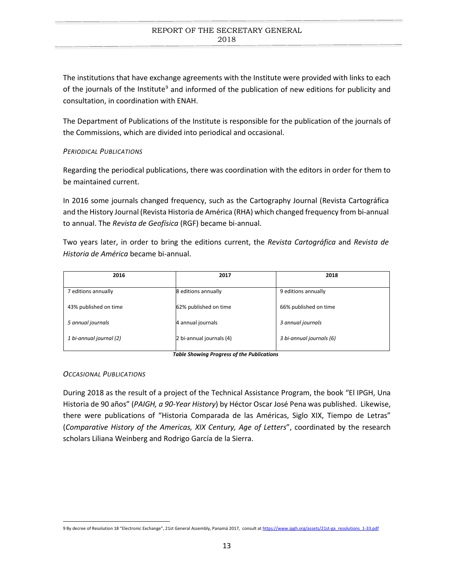The institutions that have exchange agreements with the Institute were provided with links to each of the journals of the Institute<sup>9</sup> and informed of the publication of new editions for publicity and consultation, in coordination with ENAH.

The Department of Publications of the Institute is responsible for the publication of the journals of the Commissions, which are divided into periodical and occasional.

# *PERIODICAL PUBLICATIONS*

Regarding the periodical publications, there was coordination with the editors in order for them to be maintained current.

In 2016 some journals changed frequency, such as the Cartography Journal (Revista Cartográfica and the History Journal (Revista Historia de América (RHA) which changed frequency from bi-annual to annual. The *Revista de Geofísica* (RGF) became bi-annual.

Two years later, in order to bring the editions current, the *Revista Cartográfica* and *Revista de Historia de América* became bi-annual.

| 2016                    | 2017                     | 2018                     |
|-------------------------|--------------------------|--------------------------|
| 7 editions annually     | 8 editions annually      | 9 editions annually      |
| 43% published on time   | 62% published on time    | 66% published on time    |
| 5 annual journals       | 4 annual journals        | 3 annual journals        |
| 1 bi-annual journal (2) | 2 bi-annual journals (4) | 3 bi-annual journals (6) |
|                         |                          |                          |

*Table Showing Progress of the Publications*

## *OCCASIONAL PUBLICATIONS*

During 2018 as the result of a project of the Technical Assistance Program, the book "El IPGH, Una Historia de 90 años" (*PAIGH, a 90-Year History*) by Héctor Oscar José Pena was published. Likewise, there were publications of "Historia Comparada de las Américas, Siglo XIX, Tiempo de Letras" (*Comparative History of the Americas, XIX Century, Age of Letters*", coordinated by the research scholars Liliana Weinberg and Rodrigo García de la Sierra.

<span id="page-12-0"></span><sup>9</sup> By decree of Resolution 18 "Electronic Exchange", 21st General Assembly, Panamá 2017, consult a[t https://www.ipgh.org/assets/21st-ga\\_resolutions\\_1-33.pdf](https://www.ipgh.org/assets/21st-ga_resolutions_1-33.pdf)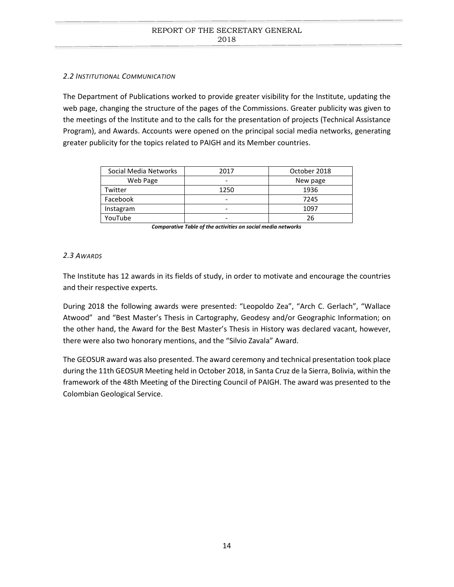## <span id="page-13-0"></span>*2.2 INSTITUTIONAL COMMUNICATION*

The Department of Publications worked to provide greater visibility for the Institute, updating the web page, changing the structure of the pages of the Commissions. Greater publicity was given to the meetings of the Institute and to the calls for the presentation of projects (Technical Assistance Program), and Awards. Accounts were opened on the principal social media networks, generating greater publicity for the topics related to PAIGH and its Member countries.

| Social Media Networks | 2017                     | October 2018 |
|-----------------------|--------------------------|--------------|
| Web Page              | -                        | New page     |
| Twitter               | 1250                     | 1936         |
| Facebook              | -                        | 7245         |
| Instagram             | $\overline{\phantom{0}}$ | 1097         |
| YouTube               | -                        | 26           |

*Comparative Table of the activities on social media networks*

## <span id="page-13-1"></span>*2.3 AWARDS*

The Institute has 12 awards in its fields of study, in order to motivate and encourage the countries and their respective experts.

During 2018 the following awards were presented: "Leopoldo Zea", "Arch C. Gerlach", "Wallace Atwood" and "Best Master's Thesis in Cartography, Geodesy and/or Geographic Information; on the other hand, the Award for the Best Master's Thesis in History was declared vacant, however, there were also two honorary mentions, and the "Silvio Zavala" Award.

The GEOSUR award was also presented. The award ceremony and technical presentation took place during the 11th GEOSUR Meeting held in October 2018, in Santa Cruz de la Sierra, Bolivia, within the framework of the 48th Meeting of the Directing Council of PAIGH. The award was presented to the Colombian Geological Service.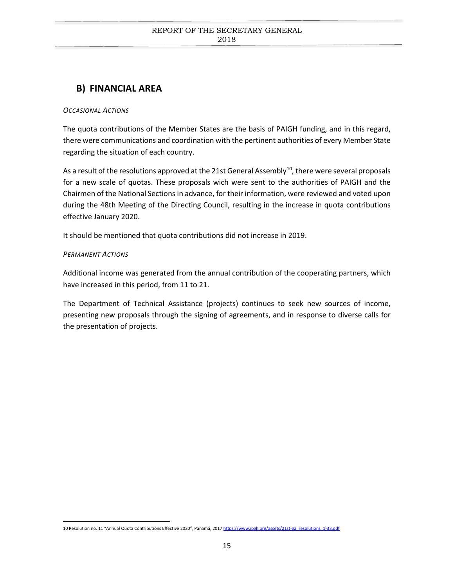# <span id="page-14-0"></span>**B) FINANCIAL AREA**

## *OCCASIONAL ACTIONS*

The quota contributions of the Member States are the basis of PAIGH funding, and in this regard, there were communications and coordination with the pertinent authorities of every Member State regarding the situation of each country.

As a result of the resolutions approved at the 21st General Assembly<sup>10</sup>, there were several proposals for a new scale of quotas. These proposals wich were sent to the authorities of PAIGH and the Chairmen of the National Sections in advance, for their information, were reviewed and voted upon during the 48th Meeting of the Directing Council, resulting in the increase in quota contributions effective January 2020.

It should be mentioned that quota contributions did not increase in 2019.

# *PERMANENT ACTIONS*

Additional income was generated from the annual contribution of the cooperating partners, which have increased in this period, from 11 to 21.

The Department of Technical Assistance (projects) continues to seek new sources of income, presenting new proposals through the signing of agreements, and in response to diverse calls for the presentation of projects.

<span id="page-14-1"></span><sup>10</sup> Resolution no. 11 "Annual Quota Contributions Effective 2020", Panamá, 201[7 https://www.ipgh.org/assets/21st-ga\\_resolutions\\_1-33.pdf](https://www.ipgh.org/assets/21st-ga_resolutions_1-33.pdf)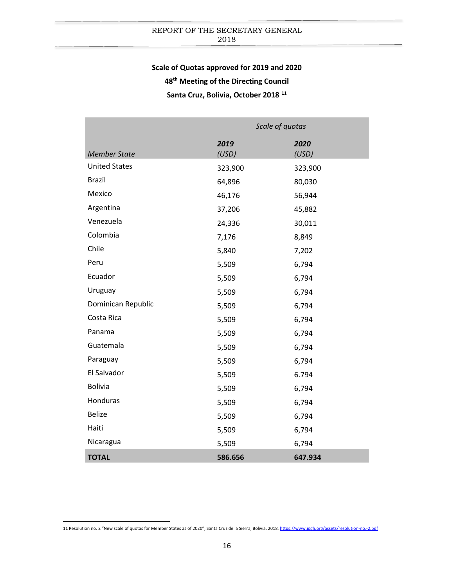# **Scale of Quotas approved for 2019 and 2020**

**48th Meeting of the Directing Council**

**Santa Cruz, Bolivia, October 2018 [11](#page-15-0)**

|                      | Scale of quotas |               |  |
|----------------------|-----------------|---------------|--|
| <b>Member State</b>  | 2019<br>(USD)   | 2020<br>(USD) |  |
| <b>United States</b> | 323,900         | 323,900       |  |
| <b>Brazil</b>        | 64,896          | 80,030        |  |
| Mexico               | 46,176          | 56,944        |  |
| Argentina            | 37,206          | 45,882        |  |
| Venezuela            | 24,336          | 30,011        |  |
| Colombia             | 7,176           | 8,849         |  |
| Chile                | 5,840           | 7,202         |  |
| Peru                 | 5,509           | 6,794         |  |
| Ecuador              | 5,509           | 6,794         |  |
| Uruguay              | 5,509           | 6,794         |  |
| Dominican Republic   | 5,509           | 6,794         |  |
| Costa Rica           | 5,509           | 6,794         |  |
| Panama               | 5,509           | 6,794         |  |
| Guatemala            | 5,509           | 6,794         |  |
| Paraguay             | 5,509           | 6,794         |  |
| El Salvador          | 5,509           | 6.794         |  |
| <b>Bolivia</b>       | 5,509           | 6,794         |  |
| Honduras             | 5,509           | 6,794         |  |
| <b>Belize</b>        | 5,509           | 6,794         |  |
| Haiti                | 5,509           | 6,794         |  |
| Nicaragua            | 5,509           | 6,794         |  |
| <b>TOTAL</b>         | 586.656         | 647.934       |  |

<span id="page-15-0"></span> <sup>11</sup> Resolution no. 2 "New scale of quotas for Member States as of 2020", Santa Cruz de la Sierra, Bolivia, 2018. <https://www.ipgh.org/assets/resolution-no.-2.pdf>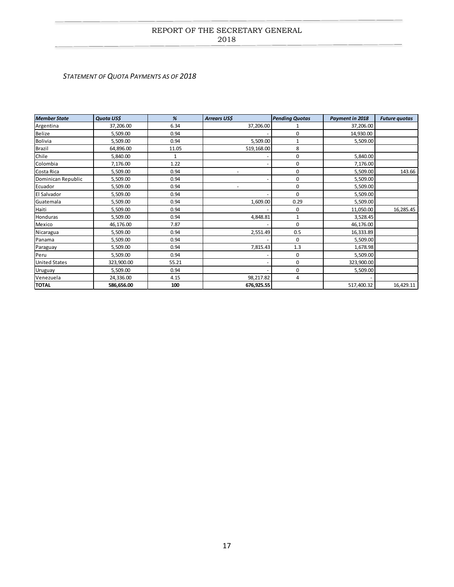#### <span id="page-16-0"></span>*STATEMENT OF QUOTA PAYMENTS AS OF 2018*

| <b>Member State</b>  | Quota US\$ | %     | <b>Arrears US\$</b> | <b>Pending Quotas</b> | Payment in 2018 | <b>Future quotas</b> |
|----------------------|------------|-------|---------------------|-----------------------|-----------------|----------------------|
| Argentina            | 37,206.00  | 6.34  | 37,206.00           |                       | 37,206.00       |                      |
| Belize               | 5,509.00   | 0.94  |                     | 0                     | 14,930.00       |                      |
| <b>Bolivia</b>       | 5,509.00   | 0.94  | 5,509.00            | 1                     | 5,509.00        |                      |
| <b>Brazil</b>        | 64,896.00  | 11.05 | 519,168.00          | 8                     |                 |                      |
| Chile                | 5,840.00   | 1     |                     | 0                     | 5,840.00        |                      |
| Colombia             | 7,176.00   | 1.22  |                     | 0                     | 7,176.00        |                      |
| Costa Rica           | 5,509.00   | 0.94  |                     | 0                     | 5,509.00        | 143.66               |
| Dominican Republic   | 5,509.00   | 0.94  |                     | 0                     | 5,509.00        |                      |
| Ecuador              | 5,509.00   | 0.94  |                     | 0                     | 5,509.00        |                      |
| El Salvador          | 5,509.00   | 0.94  |                     | $\Omega$              | 5,509.00        |                      |
| Guatemala            | 5,509.00   | 0.94  | 1,609.00            | 0.29                  | 5,509.00        |                      |
| Haiti                | 5,509.00   | 0.94  |                     | 0                     | 11,050.00       | 16,285.45            |
| Honduras             | 5,509.00   | 0.94  | 4,848.81            | 1                     | 3,528.45        |                      |
| Mexico               | 46,176.00  | 7.87  |                     | $\Omega$              | 46,176.00       |                      |
| Nicaragua            | 5,509.00   | 0.94  | 2,551.49            | 0.5                   | 16,333.89       |                      |
| Panama               | 5,509.00   | 0.94  |                     | 0                     | 5,509.00        |                      |
| Paraguay             | 5,509.00   | 0.94  | 7,815.43            | 1.3                   | 1,678.98        |                      |
| Peru                 | 5,509.00   | 0.94  |                     | 0                     | 5,509.00        |                      |
| <b>United States</b> | 323,900.00 | 55.21 |                     | 0                     | 323,900.00      |                      |
| <b>Uruguay</b>       | 5,509.00   | 0.94  |                     | 0                     | 5,509.00        |                      |
| Venezuela            | 24,336.00  | 4.15  | 98,217.82           | 4                     |                 |                      |
| <b>TOTAL</b>         | 586,656.00 | 100   | 676,925.55          |                       | 517,400.32      | 16,429.11            |